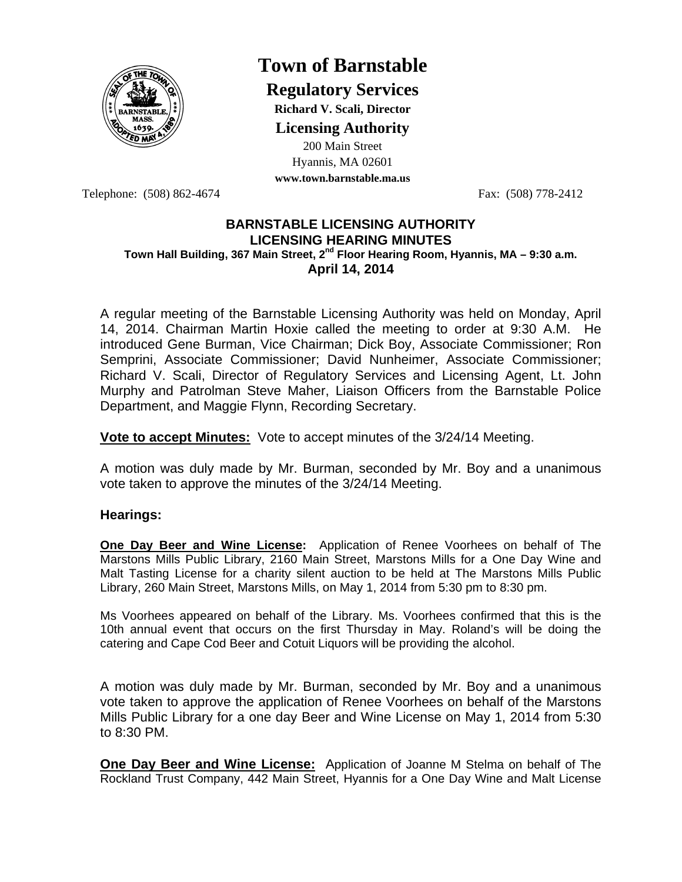

# **Town of Barnstable**

**Regulatory Services**

**Richard V. Scali, Director Licensing Authority**

200 Main Street Hyannis, MA 02601 **www.town.barnstable.ma.us**

Telephone: (508) 862-4674 Fax: (508) 778-2412

## **BARNSTABLE LICENSING AUTHORITY LICENSING HEARING MINUTES Town Hall Building, 367 Main Street, 2nd Floor Hearing Room, Hyannis, MA – 9:30 a.m. April 14, 2014**

A regular meeting of the Barnstable Licensing Authority was held on Monday, April 14, 2014. Chairman Martin Hoxie called the meeting to order at 9:30 A.M. He introduced Gene Burman, Vice Chairman; Dick Boy, Associate Commissioner; Ron Semprini, Associate Commissioner; David Nunheimer, Associate Commissioner; Richard V. Scali, Director of Regulatory Services and Licensing Agent, Lt. John Murphy and Patrolman Steve Maher, Liaison Officers from the Barnstable Police Department, and Maggie Flynn, Recording Secretary.

**Vote to accept Minutes:** Vote to accept minutes of the 3/24/14 Meeting.

A motion was duly made by Mr. Burman, seconded by Mr. Boy and a unanimous vote taken to approve the minutes of the 3/24/14 Meeting.

# **Hearings:**

**One Day Beer and Wine License:** Application of Renee Voorhees on behalf of The Marstons Mills Public Library, 2160 Main Street, Marstons Mills for a One Day Wine and Malt Tasting License for a charity silent auction to be held at The Marstons Mills Public Library, 260 Main Street, Marstons Mills, on May 1, 2014 from 5:30 pm to 8:30 pm.

Ms Voorhees appeared on behalf of the Library. Ms. Voorhees confirmed that this is the 10th annual event that occurs on the first Thursday in May. Roland's will be doing the catering and Cape Cod Beer and Cotuit Liquors will be providing the alcohol.

A motion was duly made by Mr. Burman, seconded by Mr. Boy and a unanimous vote taken to approve the application of Renee Voorhees on behalf of the Marstons Mills Public Library for a one day Beer and Wine License on May 1, 2014 from 5:30 to 8:30 PM.

**One Day Beer and Wine License:** Application of Joanne M Stelma on behalf of The Rockland Trust Company, 442 Main Street, Hyannis for a One Day Wine and Malt License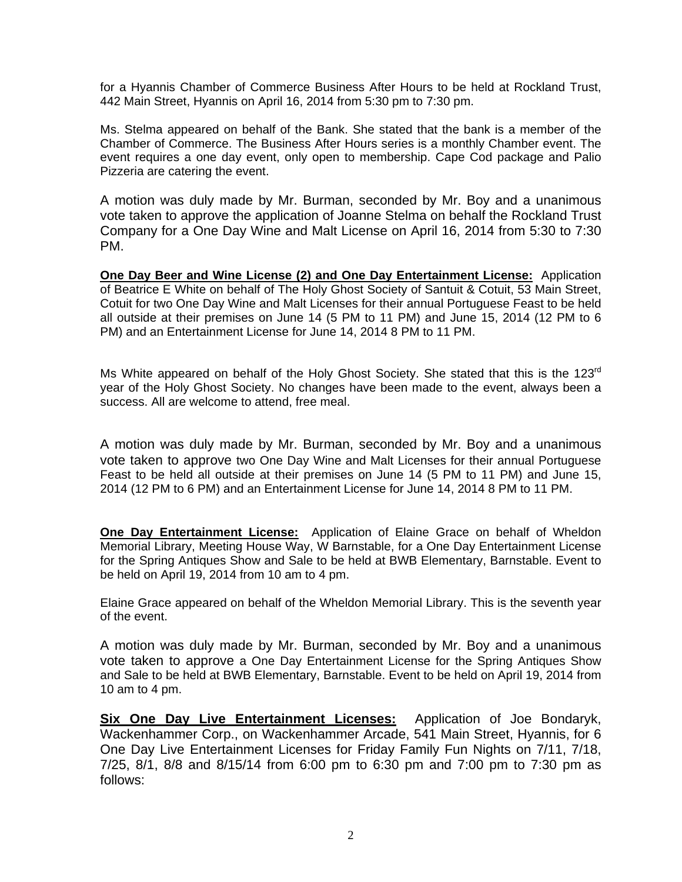for a Hyannis Chamber of Commerce Business After Hours to be held at Rockland Trust, 442 Main Street, Hyannis on April 16, 2014 from 5:30 pm to 7:30 pm.

Ms. Stelma appeared on behalf of the Bank. She stated that the bank is a member of the Chamber of Commerce. The Business After Hours series is a monthly Chamber event. The event requires a one day event, only open to membership. Cape Cod package and Palio Pizzeria are catering the event.

A motion was duly made by Mr. Burman, seconded by Mr. Boy and a unanimous vote taken to approve the application of Joanne Stelma on behalf the Rockland Trust Company for a One Day Wine and Malt License on April 16, 2014 from 5:30 to 7:30 PM.

**One Day Beer and Wine License (2) and One Day Entertainment License:** Application of Beatrice E White on behalf of The Holy Ghost Society of Santuit & Cotuit, 53 Main Street, Cotuit for two One Day Wine and Malt Licenses for their annual Portuguese Feast to be held all outside at their premises on June 14 (5 PM to 11 PM) and June 15, 2014 (12 PM to 6 PM) and an Entertainment License for June 14, 2014 8 PM to 11 PM.

Ms White appeared on behalf of the Holy Ghost Society. She stated that this is the 123<sup>rd</sup> year of the Holy Ghost Society. No changes have been made to the event, always been a success. All are welcome to attend, free meal.

A motion was duly made by Mr. Burman, seconded by Mr. Boy and a unanimous vote taken to approve two One Day Wine and Malt Licenses for their annual Portuguese Feast to be held all outside at their premises on June 14 (5 PM to 11 PM) and June 15, 2014 (12 PM to 6 PM) and an Entertainment License for June 14, 2014 8 PM to 11 PM.

**One Day Entertainment License:** Application of Elaine Grace on behalf of Wheldon Memorial Library, Meeting House Way, W Barnstable, for a One Day Entertainment License for the Spring Antiques Show and Sale to be held at BWB Elementary, Barnstable. Event to be held on April 19, 2014 from 10 am to 4 pm.

Elaine Grace appeared on behalf of the Wheldon Memorial Library. This is the seventh year of the event.

A motion was duly made by Mr. Burman, seconded by Mr. Boy and a unanimous vote taken to approve a One Day Entertainment License for the Spring Antiques Show and Sale to be held at BWB Elementary, Barnstable. Event to be held on April 19, 2014 from 10 am to 4 pm.

**Six One Day Live Entertainment Licenses:** Application of Joe Bondaryk, Wackenhammer Corp., on Wackenhammer Arcade, 541 Main Street, Hyannis, for 6 One Day Live Entertainment Licenses for Friday Family Fun Nights on 7/11, 7/18, 7/25, 8/1, 8/8 and 8/15/14 from 6:00 pm to 6:30 pm and 7:00 pm to 7:30 pm as follows: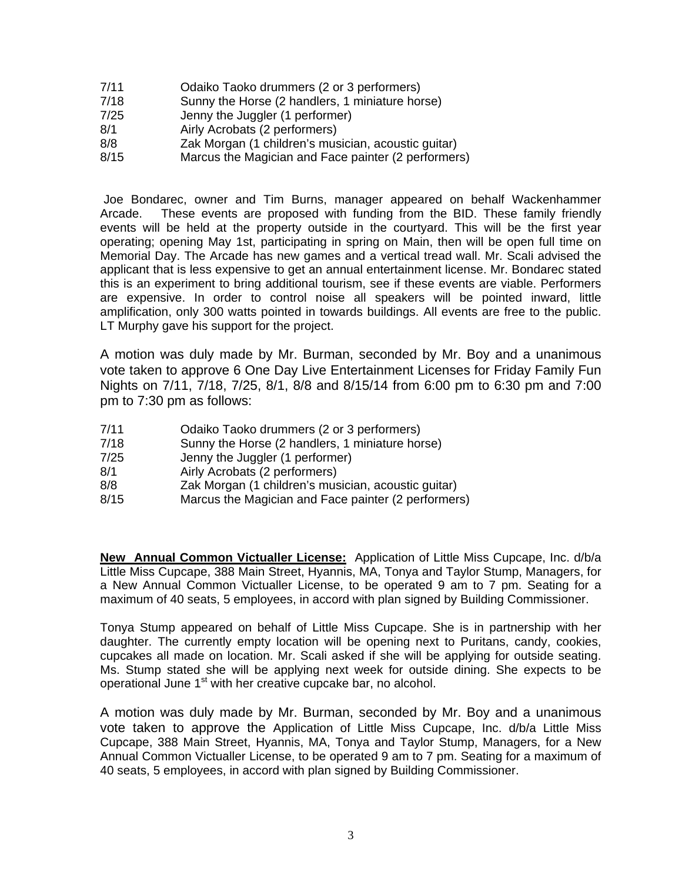- 7/11 Odaiko Taoko drummers (2 or 3 performers)
- 7/18 Sunny the Horse (2 handlers, 1 miniature horse)
- 7/25 Jenny the Juggler (1 performer)
- 8/1 Airly Acrobats (2 performers)
- 8/8 Zak Morgan (1 children's musician, acoustic guitar)
- 8/15 Marcus the Magician and Face painter (2 performers)

 Joe Bondarec, owner and Tim Burns, manager appeared on behalf Wackenhammer Arcade. These events are proposed with funding from the BID. These family friendly events will be held at the property outside in the courtyard. This will be the first year operating; opening May 1st, participating in spring on Main, then will be open full time on Memorial Day. The Arcade has new games and a vertical tread wall. Mr. Scali advised the applicant that is less expensive to get an annual entertainment license. Mr. Bondarec stated this is an experiment to bring additional tourism, see if these events are viable. Performers are expensive. In order to control noise all speakers will be pointed inward, little amplification, only 300 watts pointed in towards buildings. All events are free to the public. LT Murphy gave his support for the project.

A motion was duly made by Mr. Burman, seconded by Mr. Boy and a unanimous vote taken to approve 6 One Day Live Entertainment Licenses for Friday Family Fun Nights on 7/11, 7/18, 7/25, 8/1, 8/8 and 8/15/14 from 6:00 pm to 6:30 pm and 7:00 pm to 7:30 pm as follows:

- 7/11 Odaiko Taoko drummers (2 or 3 performers)
- 7/18 Sunny the Horse (2 handlers, 1 miniature horse)
- 7/25 Jenny the Juggler (1 performer)
- 8/1 **Airly Acrobats (2 performers)**
- 8/8 Zak Morgan (1 children's musician, acoustic guitar)
- 8/15 Marcus the Magician and Face painter (2 performers)

**New Annual Common Victualler License:** Application of Little Miss Cupcape, Inc. d/b/a Little Miss Cupcape, 388 Main Street, Hyannis, MA, Tonya and Taylor Stump, Managers, for a New Annual Common Victualler License, to be operated 9 am to 7 pm. Seating for a maximum of 40 seats, 5 employees, in accord with plan signed by Building Commissioner.

Tonya Stump appeared on behalf of Little Miss Cupcape. She is in partnership with her daughter. The currently empty location will be opening next to Puritans, candy, cookies, cupcakes all made on location. Mr. Scali asked if she will be applying for outside seating. Ms. Stump stated she will be applying next week for outside dining. She expects to be operational June 1<sup>st</sup> with her creative cupcake bar, no alcohol.

A motion was duly made by Mr. Burman, seconded by Mr. Boy and a unanimous vote taken to approve the Application of Little Miss Cupcape, Inc. d/b/a Little Miss Cupcape, 388 Main Street, Hyannis, MA, Tonya and Taylor Stump, Managers, for a New Annual Common Victualler License, to be operated 9 am to 7 pm. Seating for a maximum of 40 seats, 5 employees, in accord with plan signed by Building Commissioner.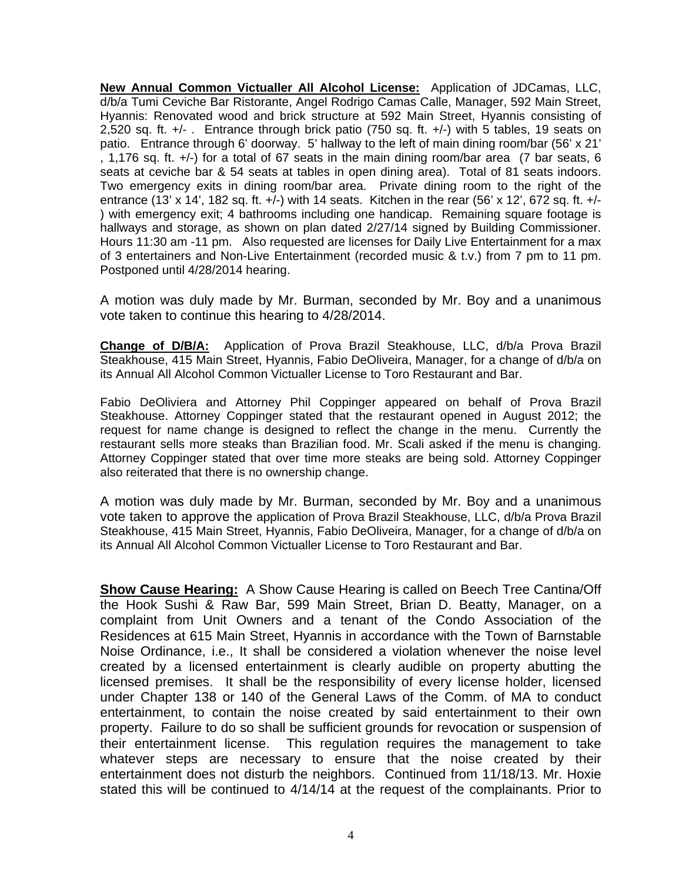**New Annual Common Victualler All Alcohol License:** Application of JDCamas, LLC, d/b/a Tumi Ceviche Bar Ristorante, Angel Rodrigo Camas Calle, Manager, 592 Main Street, Hyannis: Renovated wood and brick structure at 592 Main Street, Hyannis consisting of 2,520 sq. ft.  $+/-$ . Entrance through brick patio (750 sq. ft.  $+/-$ ) with 5 tables, 19 seats on patio. Entrance through 6' doorway. 5' hallway to the left of main dining room/bar (56' x 21' , 1,176 sq. ft. +/-) for a total of 67 seats in the main dining room/bar area (7 bar seats, 6 seats at ceviche bar & 54 seats at tables in open dining area). Total of 81 seats indoors. Two emergency exits in dining room/bar area. Private dining room to the right of the entrance (13' x 14', 182 sq. ft. +/-) with 14 seats. Kitchen in the rear (56' x 12', 672 sq. ft. +/-) with emergency exit; 4 bathrooms including one handicap. Remaining square footage is hallways and storage, as shown on plan dated 2/27/14 signed by Building Commissioner. Hours 11:30 am -11 pm. Also requested are licenses for Daily Live Entertainment for a max of 3 entertainers and Non-Live Entertainment (recorded music & t.v.) from 7 pm to 11 pm. Postponed until 4/28/2014 hearing.

A motion was duly made by Mr. Burman, seconded by Mr. Boy and a unanimous vote taken to continue this hearing to 4/28/2014.

**Change of D/B/A:** Application of Prova Brazil Steakhouse, LLC, d/b/a Prova Brazil Steakhouse, 415 Main Street, Hyannis, Fabio DeOliveira, Manager, for a change of d/b/a on its Annual All Alcohol Common Victualler License to Toro Restaurant and Bar.

Fabio DeOliviera and Attorney Phil Coppinger appeared on behalf of Prova Brazil Steakhouse. Attorney Coppinger stated that the restaurant opened in August 2012; the request for name change is designed to reflect the change in the menu. Currently the restaurant sells more steaks than Brazilian food. Mr. Scali asked if the menu is changing. Attorney Coppinger stated that over time more steaks are being sold. Attorney Coppinger also reiterated that there is no ownership change.

A motion was duly made by Mr. Burman, seconded by Mr. Boy and a unanimous vote taken to approve the application of Prova Brazil Steakhouse, LLC, d/b/a Prova Brazil Steakhouse, 415 Main Street, Hyannis, Fabio DeOliveira, Manager, for a change of d/b/a on its Annual All Alcohol Common Victualler License to Toro Restaurant and Bar.

**Show Cause Hearing:** A Show Cause Hearing is called on Beech Tree Cantina/Off the Hook Sushi & Raw Bar, 599 Main Street, Brian D. Beatty, Manager, on a complaint from Unit Owners and a tenant of the Condo Association of the Residences at 615 Main Street, Hyannis in accordance with the Town of Barnstable Noise Ordinance, i.e., It shall be considered a violation whenever the noise level created by a licensed entertainment is clearly audible on property abutting the licensed premises. It shall be the responsibility of every license holder, licensed under Chapter 138 or 140 of the General Laws of the Comm. of MA to conduct entertainment, to contain the noise created by said entertainment to their own property. Failure to do so shall be sufficient grounds for revocation or suspension of their entertainment license. This regulation requires the management to take whatever steps are necessary to ensure that the noise created by their entertainment does not disturb the neighbors. Continued from 11/18/13. Mr. Hoxie stated this will be continued to 4/14/14 at the request of the complainants. Prior to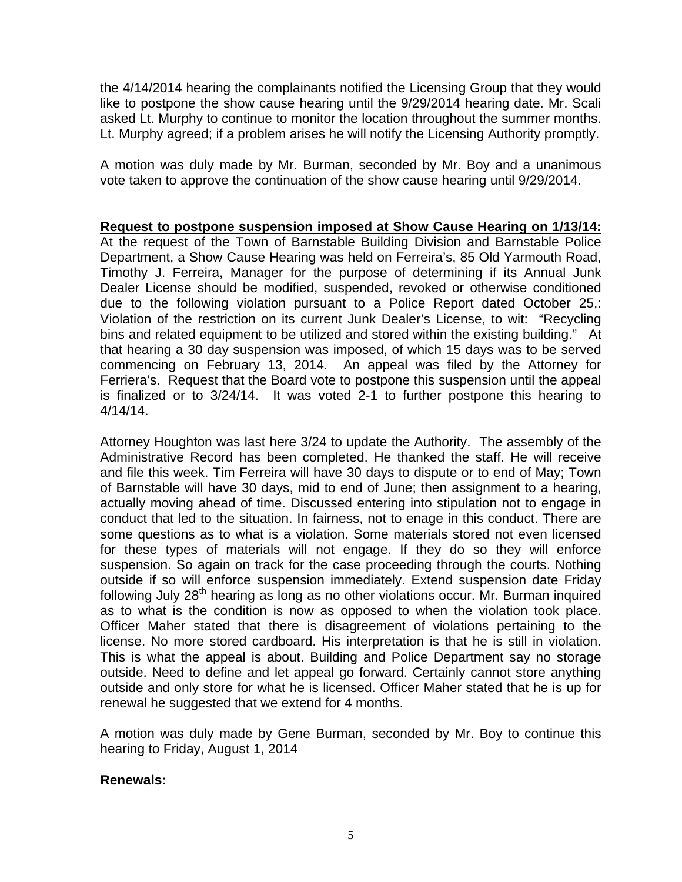the 4/14/2014 hearing the complainants notified the Licensing Group that they would like to postpone the show cause hearing until the 9/29/2014 hearing date. Mr. Scali asked Lt. Murphy to continue to monitor the location throughout the summer months. Lt. Murphy agreed; if a problem arises he will notify the Licensing Authority promptly.

A motion was duly made by Mr. Burman, seconded by Mr. Boy and a unanimous vote taken to approve the continuation of the show cause hearing until 9/29/2014.

**Request to postpone suspension imposed at Show Cause Hearing on 1/13/14:** At the request of the Town of Barnstable Building Division and Barnstable Police Department, a Show Cause Hearing was held on Ferreira's, 85 Old Yarmouth Road, Timothy J. Ferreira, Manager for the purpose of determining if its Annual Junk Dealer License should be modified, suspended, revoked or otherwise conditioned due to the following violation pursuant to a Police Report dated October 25,: Violation of the restriction on its current Junk Dealer's License, to wit: "Recycling bins and related equipment to be utilized and stored within the existing building." At that hearing a 30 day suspension was imposed, of which 15 days was to be served commencing on February 13, 2014. An appeal was filed by the Attorney for Ferriera's. Request that the Board vote to postpone this suspension until the appeal is finalized or to 3/24/14. It was voted 2-1 to further postpone this hearing to 4/14/14.

Attorney Houghton was last here 3/24 to update the Authority. The assembly of the Administrative Record has been completed. He thanked the staff. He will receive and file this week. Tim Ferreira will have 30 days to dispute or to end of May; Town of Barnstable will have 30 days, mid to end of June; then assignment to a hearing, actually moving ahead of time. Discussed entering into stipulation not to engage in conduct that led to the situation. In fairness, not to enage in this conduct. There are some questions as to what is a violation. Some materials stored not even licensed for these types of materials will not engage. If they do so they will enforce suspension. So again on track for the case proceeding through the courts. Nothing outside if so will enforce suspension immediately. Extend suspension date Friday following July  $28<sup>th</sup>$  hearing as long as no other violations occur. Mr. Burman inquired as to what is the condition is now as opposed to when the violation took place. Officer Maher stated that there is disagreement of violations pertaining to the license. No more stored cardboard. His interpretation is that he is still in violation. This is what the appeal is about. Building and Police Department say no storage outside. Need to define and let appeal go forward. Certainly cannot store anything outside and only store for what he is licensed. Officer Maher stated that he is up for renewal he suggested that we extend for 4 months.

A motion was duly made by Gene Burman, seconded by Mr. Boy to continue this hearing to Friday, August 1, 2014

# **Renewals:**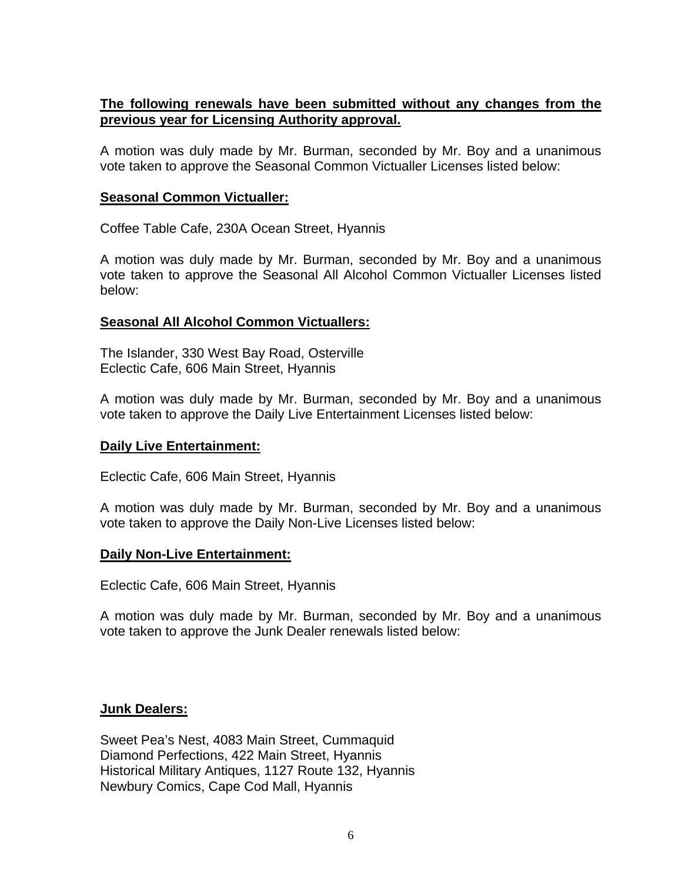# **The following renewals have been submitted without any changes from the previous year for Licensing Authority approval.**

A motion was duly made by Mr. Burman, seconded by Mr. Boy and a unanimous vote taken to approve the Seasonal Common Victualler Licenses listed below:

## **Seasonal Common Victualler:**

Coffee Table Cafe, 230A Ocean Street, Hyannis

A motion was duly made by Mr. Burman, seconded by Mr. Boy and a unanimous vote taken to approve the Seasonal All Alcohol Common Victualler Licenses listed below:

#### **Seasonal All Alcohol Common Victuallers:**

The Islander, 330 West Bay Road, Osterville Eclectic Cafe, 606 Main Street, Hyannis

A motion was duly made by Mr. Burman, seconded by Mr. Boy and a unanimous vote taken to approve the Daily Live Entertainment Licenses listed below:

#### **Daily Live Entertainment:**

Eclectic Cafe, 606 Main Street, Hyannis

A motion was duly made by Mr. Burman, seconded by Mr. Boy and a unanimous vote taken to approve the Daily Non-Live Licenses listed below:

#### **Daily Non-Live Entertainment:**

Eclectic Cafe, 606 Main Street, Hyannis

A motion was duly made by Mr. Burman, seconded by Mr. Boy and a unanimous vote taken to approve the Junk Dealer renewals listed below:

# **Junk Dealers:**

Sweet Pea's Nest, 4083 Main Street, Cummaquid Diamond Perfections, 422 Main Street, Hyannis Historical Military Antiques, 1127 Route 132, Hyannis Newbury Comics, Cape Cod Mall, Hyannis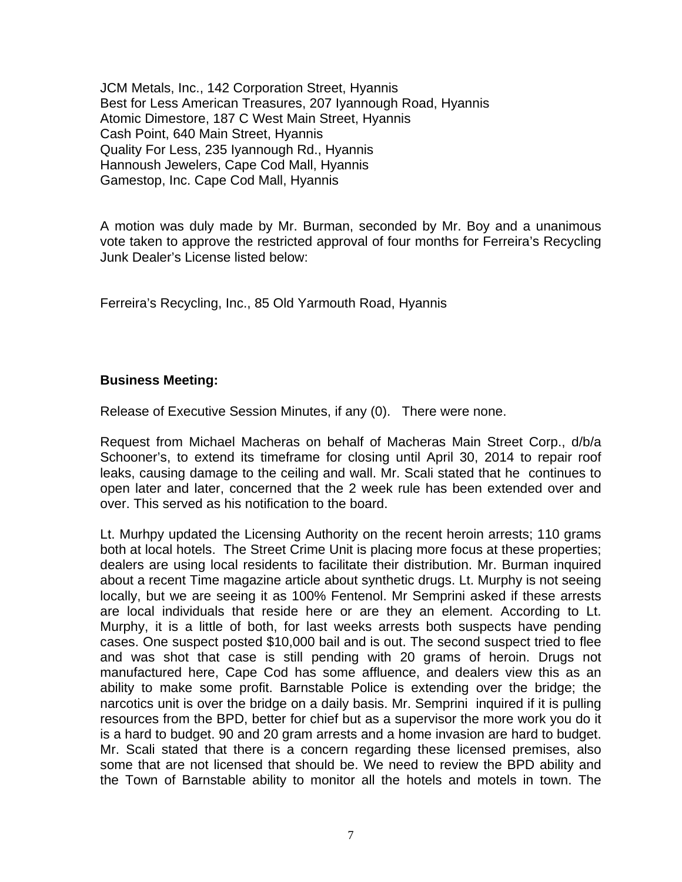JCM Metals, Inc., 142 Corporation Street, Hyannis Best for Less American Treasures, 207 Iyannough Road, Hyannis Atomic Dimestore, 187 C West Main Street, Hyannis Cash Point, 640 Main Street, Hyannis Quality For Less, 235 Iyannough Rd., Hyannis Hannoush Jewelers, Cape Cod Mall, Hyannis Gamestop, Inc. Cape Cod Mall, Hyannis

A motion was duly made by Mr. Burman, seconded by Mr. Boy and a unanimous vote taken to approve the restricted approval of four months for Ferreira's Recycling Junk Dealer's License listed below:

Ferreira's Recycling, Inc., 85 Old Yarmouth Road, Hyannis

# **Business Meeting:**

Release of Executive Session Minutes, if any (0). There were none.

Request from Michael Macheras on behalf of Macheras Main Street Corp., d/b/a Schooner's, to extend its timeframe for closing until April 30, 2014 to repair roof leaks, causing damage to the ceiling and wall. Mr. Scali stated that he continues to open later and later, concerned that the 2 week rule has been extended over and over. This served as his notification to the board.

Lt. Murhpy updated the Licensing Authority on the recent heroin arrests; 110 grams both at local hotels. The Street Crime Unit is placing more focus at these properties; dealers are using local residents to facilitate their distribution. Mr. Burman inquired about a recent Time magazine article about synthetic drugs. Lt. Murphy is not seeing locally, but we are seeing it as 100% Fentenol. Mr Semprini asked if these arrests are local individuals that reside here or are they an element. According to Lt. Murphy, it is a little of both, for last weeks arrests both suspects have pending cases. One suspect posted \$10,000 bail and is out. The second suspect tried to flee and was shot that case is still pending with 20 grams of heroin. Drugs not manufactured here, Cape Cod has some affluence, and dealers view this as an ability to make some profit. Barnstable Police is extending over the bridge; the narcotics unit is over the bridge on a daily basis. Mr. Semprini inquired if it is pulling resources from the BPD, better for chief but as a supervisor the more work you do it is a hard to budget. 90 and 20 gram arrests and a home invasion are hard to budget. Mr. Scali stated that there is a concern regarding these licensed premises, also some that are not licensed that should be. We need to review the BPD ability and the Town of Barnstable ability to monitor all the hotels and motels in town. The